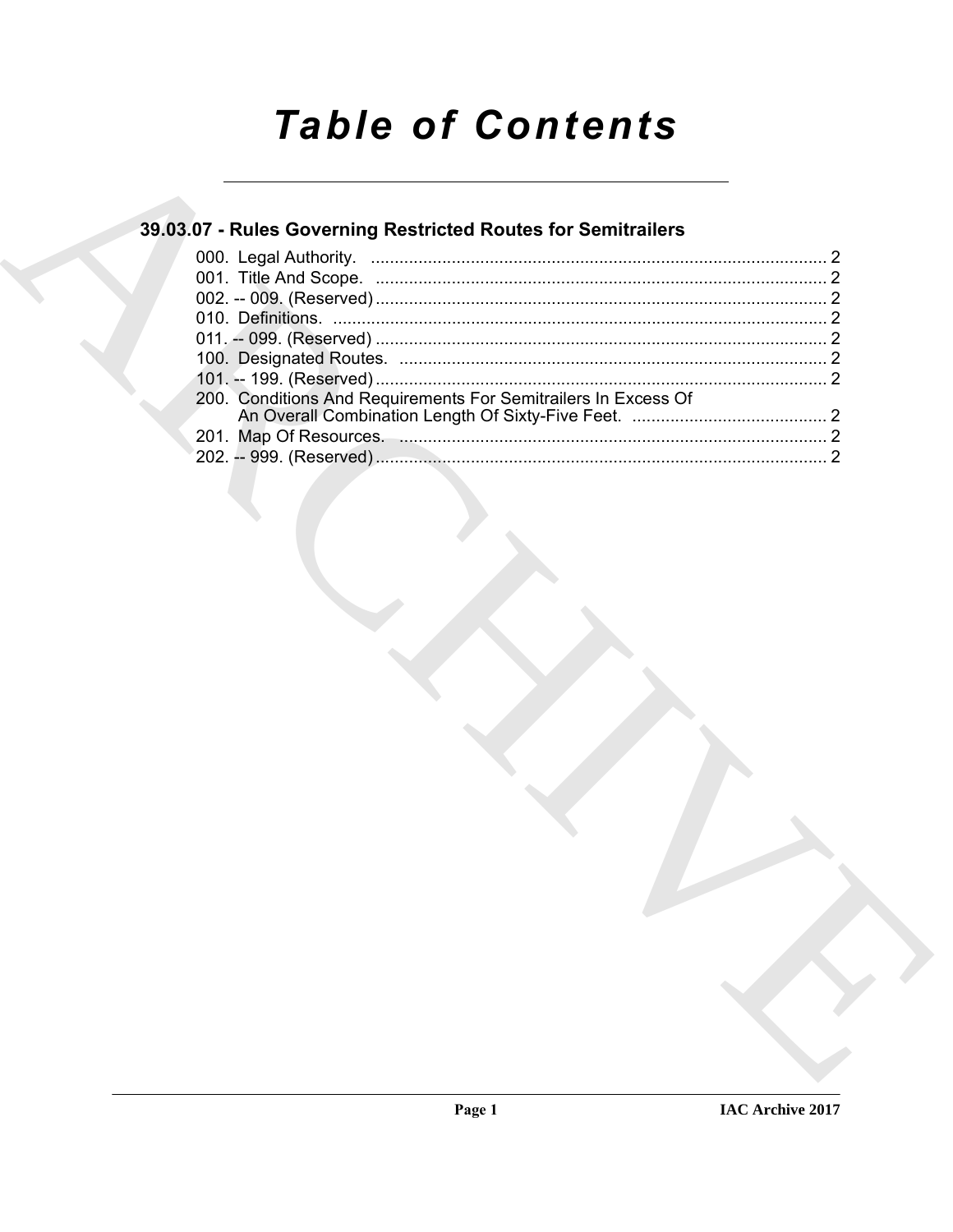# **Table of Contents**

### 39.03.07 - Rules Governing Restricted Routes for Semitrailers

| 200. Conditions And Requirements For Semitrailers In Excess Of |  |
|----------------------------------------------------------------|--|
|                                                                |  |
|                                                                |  |
|                                                                |  |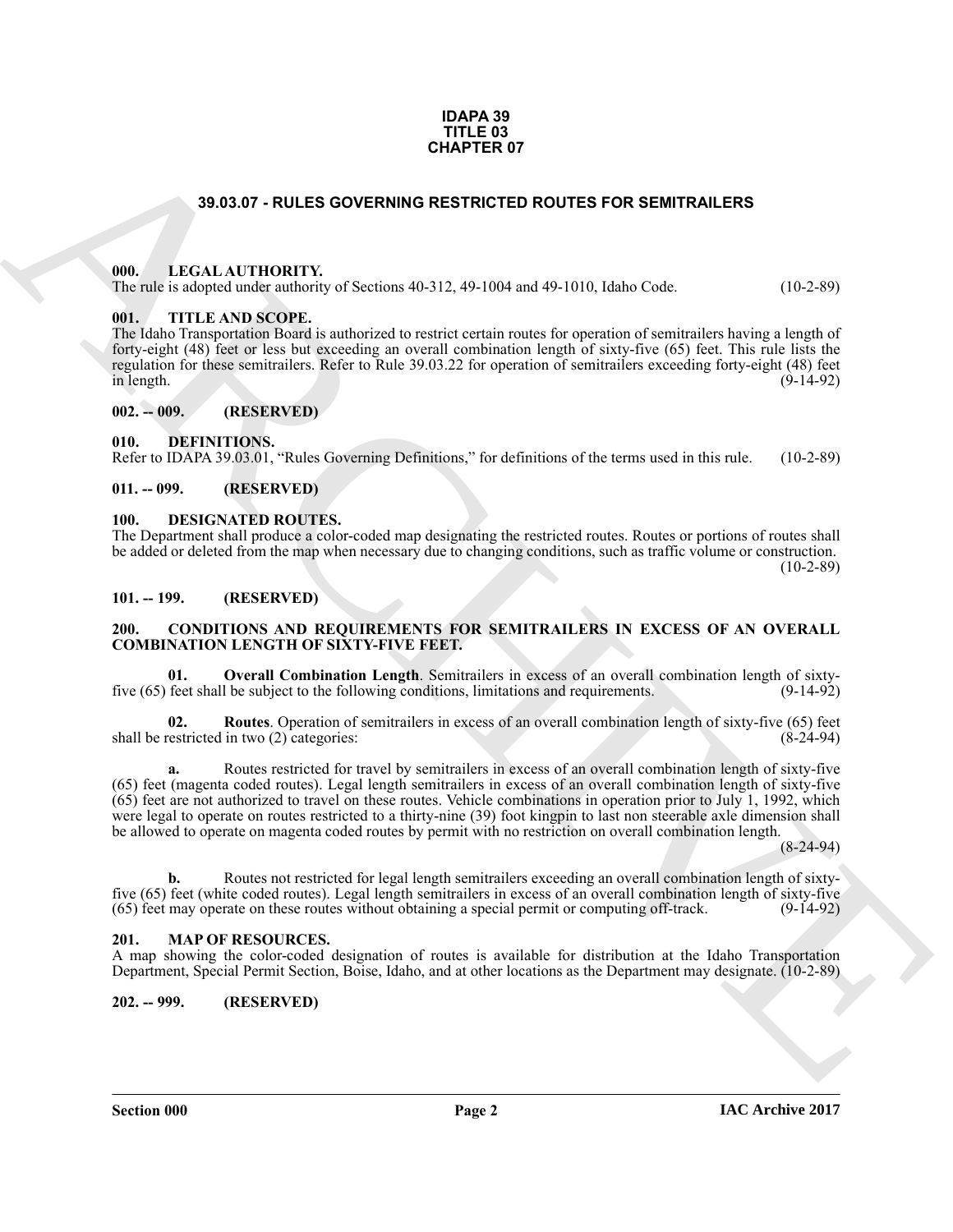#### **IDAPA 39 TITLE 03 CHAPTER 07**

#### **39.03.07 - RULES GOVERNING RESTRICTED ROUTES FOR SEMITRAILERS**

#### <span id="page-1-1"></span><span id="page-1-0"></span>**000. LEGAL AUTHORITY.**

The rule is adopted under authority of Sections 40-312, 49-1004 and 49-1010, Idaho Code. (10-2-89)

#### <span id="page-1-2"></span>**001. TITLE AND SCOPE.**

The Idaho Transportation Board is authorized to restrict certain routes for operation of semitrailers having a length of forty-eight (48) feet or less but exceeding an overall combination length of sixty-five (65) feet. This rule lists the regulation for these semitrailers. Refer to Rule 39.03.22 for operation of semitrailers exceeding forty-eight (48) feet  $\ln$  length. (9-14-92)

<span id="page-1-3"></span>**002. -- 009. (RESERVED)**

#### <span id="page-1-14"></span><span id="page-1-4"></span>**010. DEFINITIONS.**

Refer to IDAPA 39.03.01, "Rules Governing Definitions," for definitions of the terms used in this rule. (10-2-89)

#### <span id="page-1-5"></span>**011. -- 099. (RESERVED)**

#### <span id="page-1-15"></span><span id="page-1-6"></span>**100. DESIGNATED ROUTES.**

The Department shall produce a color-coded map designating the restricted routes. Routes or portions of routes shall be added or deleted from the map when necessary due to changing conditions, such as traffic volume or construction.  $(10-2-89)$ 

#### <span id="page-1-7"></span>**101. -- 199. (RESERVED)**

#### <span id="page-1-11"></span><span id="page-1-8"></span>**200. CONDITIONS AND REQUIREMENTS FOR SEMITRAILERS IN EXCESS OF AN OVERALL COMBINATION LENGTH OF SIXTY-FIVE FEET.**

<span id="page-1-12"></span>**01. Overall Combination Length**. Semitrailers in excess of an overall combination length of sixty-<br>feet shall be subject to the following conditions. limitations and requirements. (9-14-92) five (65) feet shall be subject to the following conditions, limitations and requirements.

<span id="page-1-13"></span>**02. Routes**. Operation of semitrailers in excess of an overall combination length of sixty-five (65) feet shall be restricted in two (2) categories: (8-24-94)

**GHAPTER OF**<br> **CHAPTER OF**<br> **CHAPTER OF CONFIDENTS** of SCRIMING RESTRICTED ROUTES FOR SEMITRALLERS<br>
THE ISLAM AND IDENTIFY (SCRIMING RESTRICTED ROUTES FOR SEMITRALLERS<br>
THE ISLAM CHAPTER OF THE CONFIDENTS CONFIDENTS INTO **a.** Routes restricted for travel by semitrailers in excess of an overall combination length of sixty-five (65) feet (magenta coded routes). Legal length semitrailers in excess of an overall combination length of sixty-five (65) feet are not authorized to travel on these routes. Vehicle combinations in operation prior to July 1, 1992, which were legal to operate on routes restricted to a thirty-nine (39) foot kingpin to last non steerable axle dimension shall be allowed to operate on magenta coded routes by permit with no restriction on overall combination length.

(8-24-94)

**b.** Routes not restricted for legal length semitrailers exceeding an overall combination length of sixtyfive (65) feet (white coded routes). Legal length semitrailers in excess of an overall combination length of sixty-five (65) feet may operate on these routes without obtaining a special permit or computing off-track. (9-14 (65) feet may operate on these routes without obtaining a special permit or computing off-track.

#### <span id="page-1-16"></span><span id="page-1-9"></span>**201. MAP OF RESOURCES.**

A map showing the color-coded designation of routes is available for distribution at the Idaho Transportation Department, Special Permit Section, Boise, Idaho, and at other locations as the Department may designate. (10-2-89)

<span id="page-1-10"></span>**202. -- 999. (RESERVED)**